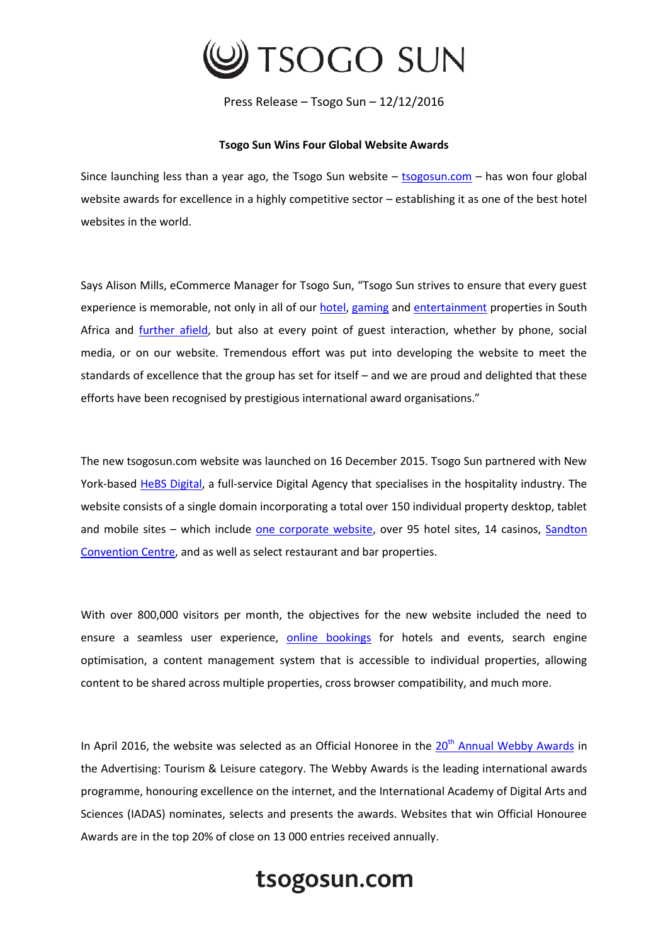

Press Release – Tsogo Sun – 12/12/2016

## **Tsogo Sun Wins Four Global Website Awards**

Since launching less than a year ago, the Tsogo Sun website  $-$  [tsogosun.com](https://www.tsogosun.com/)  $-$  has won four global website awards for excellence in a highly competitive sector – establishing it as one of the best hotel websites in the world.

Says Alison Mills, eCommerce Manager for Tsogo Sun, "Tsogo Sun strives to ensure that every guest experience is memorable, not only in all of our [hotel,](https://www.tsogosun.com/hotels) [gaming](https://www.tsogosun.com/gaming-and-casinos) and [entertainment](https://www.tsogosun.com/entertainment) properties in South Africa and [further afield,](https://www.tsogosun.com/destinations/africa) but also at every point of guest interaction, whether by phone, social media, or on our website. Tremendous effort was put into developing the website to meet the standards of excellence that the group has set for itself – and we are proud and delighted that these efforts have been recognised by prestigious international award organisations."

The new tsogosun.com website was launched on 16 December 2015. Tsogo Sun partnered with New York-based [HeBS Digital,](https://www.hebsdigital.com/) a full-service Digital Agency that specialises in the hospitality industry. The website consists of a single domain incorporating a total over 150 individual property desktop, tablet and mobile sites – which include [one corporate website,](https://www.tsogosun.com/) over 95 hotel sites, 14 casinos, [Sandton](https://www.tsogosun.com/sandton-convention-centre-scc)  [Convention Centre,](https://www.tsogosun.com/sandton-convention-centre-scc) and as well as select restaurant and bar properties.

With over 800,000 visitors per month, the objectives for the new website included the need to ensure a seamless user experience, [online bookings](https://bookings.tsogosun.com/tb3/index.cfm?bf=tsogosun) for hotels and events, search engine optimisation, a content management system that is accessible to individual properties, allowing content to be shared across multiple properties, cross browser compatibility, and much more.

In April 2016, the website was selected as an Official Honoree in the  $20<sup>th</sup>$  [Annual Webby Awards](http://webbyawards.com/winners/2016/advertising-media/websites-micro-sites-and-rich-media/tourism-leisure/tsogo-sun/) in the Advertising: Tourism & Leisure category. The Webby Awards is the leading international awards programme, honouring excellence on the internet, and the International Academy of Digital Arts and Sciences (IADAS) nominates, selects and presents the awards. Websites that win Official Honouree Awards are in the top 20% of close on 13 000 entries received annually.

## tsogosun.com